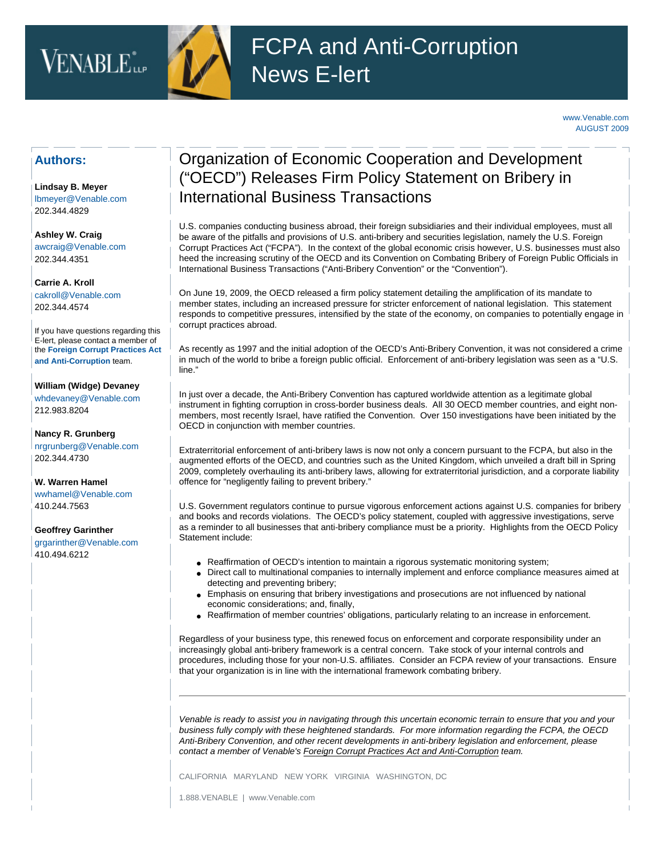# VENABLE<sup>\*</sup>



[www.Venable.com](http://www.venable.com/) AUGUST 2009

### **Authors:**

**[Lindsay B. Meyer](http://www.venable.com/lindsay-b-meyer/)**  [lbmeyer@Venable.com](mailto:lbmeyer@Venable.com) 202.344.4829

**[Ashley W. Craig](http://www.venable.com/ashley-w-craig/)** [awcraig@Venable.com](mailto:awcraig@Venable.com) 202.344.4351

**[Carrie A. Kroll](http://www.venable.com/carrie-a-kroll/)**  [cakroll@Venable.com](mailto:cakroll@Venable.com)  202.344.4574

If you have questions regarding this E-lert, please contact a member of the **[Foreign Corrupt Practices Act](http://www.venable.com/foreign-corrupt-practices-act-and-anti-corruption-practices/) [and Anti-Corruption](http://www.venable.com/foreign-corrupt-practices-act-and-anti-corruption-practices/)** team.

#### **[William \(Widge\) Devaney](http://www.venable.com/william-h-devaney/)**

[whdevaney@Venable.com](mailto:whdevaney@Venable.com)  212.983.8204

**[Nancy R. Grunberg](http://www.venable.com/nancy-r-grunberg/)** [nrgrunberg@Venable.com](mailto:nrgrunberg@Venable.com) 202.344.4730

**[W. Warren Hamel](http://www.venable.com/w-warren-hamel/)** [wwhamel@Venable.com](mailto:wwhamel@venable.com) 410.244.7563

#### **[Geoffrey Garinther](http://www.venable.com/geoffrey-r-garinther/)**

[grgarinther@Venable.com](mailto:grgarinther@Venable.com) 410.494.6212

## Organization of Economic Cooperation and Development ("OECD") Releases Firm Policy Statement on Bribery in International Business Transactions

U.S. companies conducting business abroad, their foreign subsidiaries and their individual employees, must all be aware of the pitfalls and provisions of U.S. anti-bribery and securities legislation, namely the U.S. Foreign Corrupt Practices Act ("FCPA"). In the context of the global economic crisis however, U.S. businesses must also heed the increasing scrutiny of the OECD and its Convention on Combating Bribery of Foreign Public Officials in International Business Transactions ("Anti-Bribery Convention" or the "Convention").

On June 19, 2009, the OECD released a firm policy statement detailing the amplification of its mandate to member states, including an increased pressure for stricter enforcement of national legislation. This statement responds to competitive pressures, intensified by the state of the economy, on companies to potentially engage in corrupt practices abroad.

As recently as 1997 and the initial adoption of the OECD's Anti-Bribery Convention, it was not considered a crime in much of the world to bribe a foreign public official. Enforcement of anti-bribery legislation was seen as a "U.S. line."

In just over a decade, the Anti-Bribery Convention has captured worldwide attention as a legitimate global instrument in fighting corruption in cross-border business deals. All 30 OECD member countries, and eight nonmembers, most recently Israel, have ratified the Convention. Over 150 investigations have been initiated by the OECD in conjunction with member countries.

Extraterritorial enforcement of anti-bribery laws is now not only a concern pursuant to the FCPA, but also in the augmented efforts of the OECD, and countries such as the United Kingdom, which unveiled a draft bill in Spring 2009, completely overhauling its anti-bribery laws, allowing for extraterritorial jurisdiction, and a corporate liability offence for "negligently failing to prevent bribery."

U.S. Government regulators continue to pursue vigorous enforcement actions against U.S. companies for bribery and books and records violations. The OECD's policy statement, coupled with aggressive investigations, serve as a reminder to all businesses that anti-bribery compliance must be a priority. Highlights from the OECD Policy Statement include:

- Reaffirmation of OECD's intention to maintain a rigorous systematic monitoring system;
- Direct call to multinational companies to internally implement and enforce compliance measures aimed at detecting and preventing bribery;
- Emphasis on ensuring that bribery investigations and prosecutions are not influenced by national economic considerations; and, finally,
- Reaffirmation of member countries' obligations, particularly relating to an increase in enforcement.

Regardless of your business type, this renewed focus on enforcement and corporate responsibility under an increasingly global anti-bribery framework is a central concern. Take stock of your internal controls and procedures, including those for your non-U.S. affiliates. Consider an FCPA review of your transactions. Ensure that your organization is in line with the international framework combating bribery.

*Venable is ready to assist you in navigating through this uncertain economic terrain to ensure that you and your business fully comply with these heightened standards. For more information regarding the FCPA, the OECD Anti-Bribery Convention, and other recent developments in anti-bribery legislation and enforcement, please contact a member of Venable's [Foreign Corrupt Practices Act and Anti-Corruption](http://www.venable.com/foreign-corrupt-practices-act-and-anti-corruption-practices/) team.* 

CALIFORNIA MARYLAND NEW YORK VIRGINIA WASHINGTON, DC

1.888.VENABLE | www.Venable.com